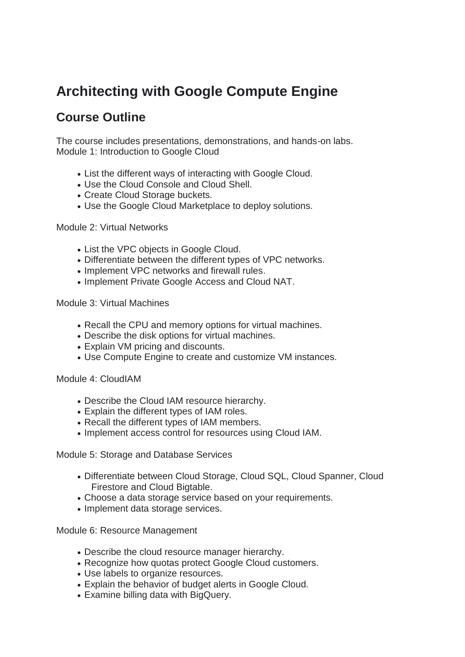## **Architecting with Google Compute Engine**

## **Course Outline**

The course includes presentations, demonstrations, and hands-on labs. Module 1: Introduction to Google Cloud

- List the different ways of interacting with Google Cloud.
- Use the Cloud Console and Cloud Shell.
- Create Cloud Storage buckets.
- Use the Google Cloud Marketplace to deploy solutions.

## Module 2: Virtual Networks

- List the VPC objects in Google Cloud.
- Differentiate between the different types of VPC networks.
- Implement VPC networks and firewall rules.
- Implement Private Google Access and Cloud NAT.

Module 3: Virtual Machines

- Recall the CPU and memory options for virtual machines.
- Describe the disk options for virtual machines.
- Explain VM pricing and discounts.
- Use Compute Engine to create and customize VM instances.

Module 4: CloudIAM

- Describe the Cloud IAM resource hierarchy.
- Explain the different types of IAM roles.
- Recall the different types of IAM members.
- Implement access control for resources using Cloud IAM.

Module 5: Storage and Database Services

- Differentiate between Cloud Storage, Cloud SQL, Cloud Spanner, Cloud Firestore and Cloud Bigtable.
- Choose a data storage service based on your requirements.
- Implement data storage services.

Module 6: Resource Management

- Describe the cloud resource manager hierarchy.
- Recognize how quotas protect Google Cloud customers.
- Use labels to organize resources.
- Explain the behavior of budget alerts in Google Cloud.
- Examine billing data with BigQuery.